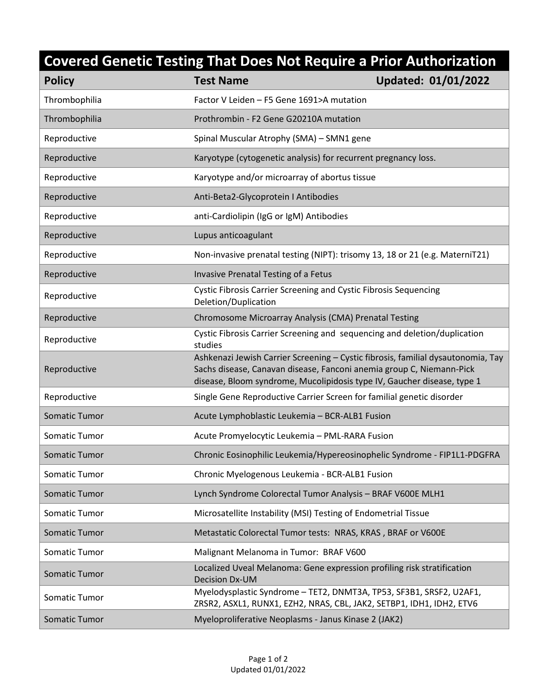## **Covered Genetic Testing That Does Not Require a Prior Authorization**

| <b>Policy</b>        | <b>Test Name</b>                                                                                                                                                                                                                    | <b>Updated: 01/01/2022</b> |
|----------------------|-------------------------------------------------------------------------------------------------------------------------------------------------------------------------------------------------------------------------------------|----------------------------|
| Thrombophilia        | Factor V Leiden - F5 Gene 1691>A mutation                                                                                                                                                                                           |                            |
| Thrombophilia        | Prothrombin - F2 Gene G20210A mutation                                                                                                                                                                                              |                            |
| Reproductive         | Spinal Muscular Atrophy (SMA) - SMN1 gene                                                                                                                                                                                           |                            |
| Reproductive         | Karyotype (cytogenetic analysis) for recurrent pregnancy loss.                                                                                                                                                                      |                            |
| Reproductive         | Karyotype and/or microarray of abortus tissue                                                                                                                                                                                       |                            |
| Reproductive         | Anti-Beta2-Glycoprotein I Antibodies                                                                                                                                                                                                |                            |
| Reproductive         | anti-Cardiolipin (IgG or IgM) Antibodies                                                                                                                                                                                            |                            |
| Reproductive         | Lupus anticoagulant                                                                                                                                                                                                                 |                            |
| Reproductive         | Non-invasive prenatal testing (NIPT): trisomy 13, 18 or 21 (e.g. MaterniT21)                                                                                                                                                        |                            |
| Reproductive         | Invasive Prenatal Testing of a Fetus                                                                                                                                                                                                |                            |
| Reproductive         | Cystic Fibrosis Carrier Screening and Cystic Fibrosis Sequencing<br>Deletion/Duplication                                                                                                                                            |                            |
| Reproductive         | Chromosome Microarray Analysis (CMA) Prenatal Testing                                                                                                                                                                               |                            |
| Reproductive         | Cystic Fibrosis Carrier Screening and sequencing and deletion/duplication<br>studies                                                                                                                                                |                            |
| Reproductive         | Ashkenazi Jewish Carrier Screening - Cystic fibrosis, familial dysautonomia, Tay<br>Sachs disease, Canavan disease, Fanconi anemia group C, Niemann-Pick<br>disease, Bloom syndrome, Mucolipidosis type IV, Gaucher disease, type 1 |                            |
| Reproductive         | Single Gene Reproductive Carrier Screen for familial genetic disorder                                                                                                                                                               |                            |
| <b>Somatic Tumor</b> | Acute Lymphoblastic Leukemia - BCR-ALB1 Fusion                                                                                                                                                                                      |                            |
| Somatic Tumor        | Acute Promyelocytic Leukemia - PML-RARA Fusion                                                                                                                                                                                      |                            |
| Somatic Tumor        | Chronic Eosinophilic Leukemia/Hypereosinophelic Syndrome - FIP1L1-PDGFRA                                                                                                                                                            |                            |
| Somatic Tumor        | Chronic Myelogenous Leukemia - BCR-ALB1 Fusion                                                                                                                                                                                      |                            |
| <b>Somatic Tumor</b> | Lynch Syndrome Colorectal Tumor Analysis - BRAF V600E MLH1                                                                                                                                                                          |                            |
| Somatic Tumor        | Microsatellite Instability (MSI) Testing of Endometrial Tissue                                                                                                                                                                      |                            |
| Somatic Tumor        | Metastatic Colorectal Tumor tests: NRAS, KRAS, BRAF or V600E                                                                                                                                                                        |                            |
| Somatic Tumor        | Malignant Melanoma in Tumor: BRAF V600                                                                                                                                                                                              |                            |
| Somatic Tumor        | Localized Uveal Melanoma: Gene expression profiling risk stratification<br><b>Decision Dx-UM</b>                                                                                                                                    |                            |
| Somatic Tumor        | Myelodysplastic Syndrome - TET2, DNMT3A, TP53, SF3B1, SRSF2, U2AF1,<br>ZRSR2, ASXL1, RUNX1, EZH2, NRAS, CBL, JAK2, SETBP1, IDH1, IDH2, ETV6                                                                                         |                            |
| Somatic Tumor        | Myeloproliferative Neoplasms - Janus Kinase 2 (JAK2)                                                                                                                                                                                |                            |